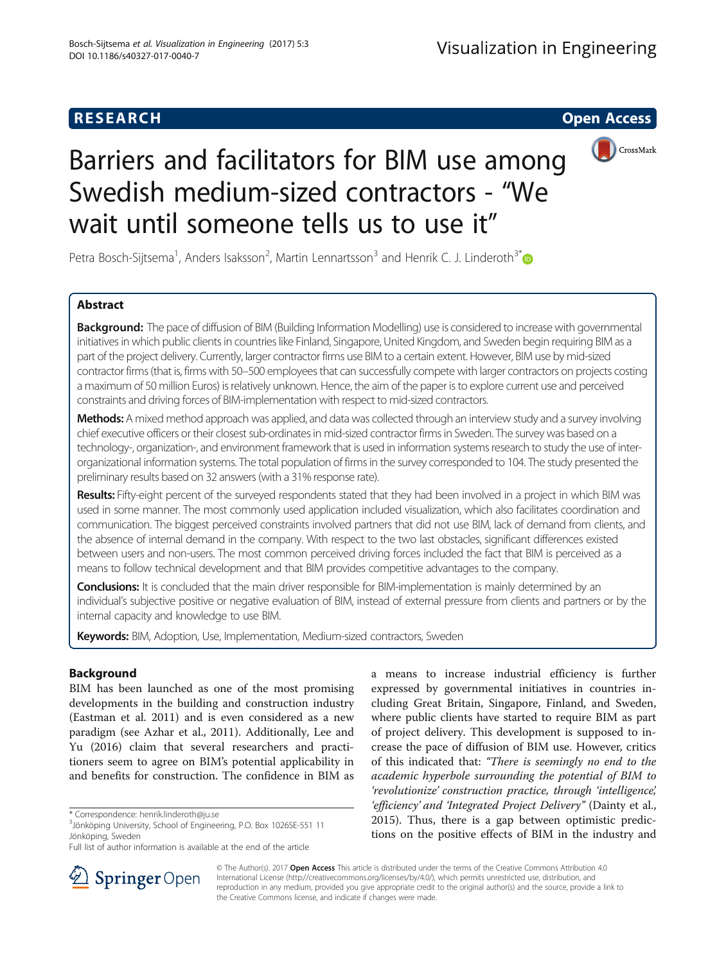# **RESEARCH CHEAR CHEAR CHEAR CHEAR CHEAR CHEAR CHEAR CHEAR CHEAR CHEAR CHEAR CHEAR CHEAR CHEAR CHEAR CHEAR CHEAR**



# Barriers and facilitators for BIM use among Swedish medium-sized contractors - "We wait until someone tells us to use it"

Petra Bosch-Sijtsema<sup>1</sup>, Anders Isaksson<sup>2</sup>, Martin Lennartsson<sup>3</sup> and Henrik C. J. Linderoth<sup>3\*</sup>

# Abstract

Background: The pace of diffusion of BIM (Building Information Modelling) use is considered to increase with governmental initiatives in which public clients in countries like Finland, Singapore, United Kingdom, and Sweden begin requiring BIM as a part of the project delivery. Currently, larger contractor firms use BIM to a certain extent. However, BIM use by mid-sized contractor firms (that is, firms with 50–500 employees that can successfully compete with larger contractors on projects costing a maximum of 50 million Euros) is relatively unknown. Hence, the aim of the paper is to explore current use and perceived constraints and driving forces of BIM-implementation with respect to mid-sized contractors.

Methods: A mixed method approach was applied, and data was collected through an interview study and a survey involving chief executive officers or their closest sub-ordinates in mid-sized contractor firms in Sweden. The survey was based on a technology-, organization-, and environment framework that is used in information systems research to study the use of interorganizational information systems. The total population of firms in the survey corresponded to 104. The study presented the preliminary results based on 32 answers (with a 31% response rate).

Results: Fifty-eight percent of the surveyed respondents stated that they had been involved in a project in which BIM was used in some manner. The most commonly used application included visualization, which also facilitates coordination and communication. The biggest perceived constraints involved partners that did not use BIM, lack of demand from clients, and the absence of internal demand in the company. With respect to the two last obstacles, significant differences existed between users and non-users. The most common perceived driving forces included the fact that BIM is perceived as a means to follow technical development and that BIM provides competitive advantages to the company.

Conclusions: It is concluded that the main driver responsible for BIM-implementation is mainly determined by an individual's subjective positive or negative evaluation of BIM, instead of external pressure from clients and partners or by the internal capacity and knowledge to use BIM.

Keywords: BIM, Adoption, Use, Implementation, Medium-sized contractors, Sweden

# Background

BIM has been launched as one of the most promising developments in the building and construction industry (Eastman et al. [2011\)](#page-10-0) and is even considered as a new paradigm (see Azhar et al., [2011\)](#page-10-0). Additionally, Lee and Yu [\(2016\)](#page-11-0) claim that several researchers and practitioners seem to agree on BIM's potential applicability in and benefits for construction. The confidence in BIM as

a means to increase industrial efficiency is further expressed by governmental initiatives in countries including Great Britain, Singapore, Finland, and Sweden, where public clients have started to require BIM as part of project delivery. This development is supposed to increase the pace of diffusion of BIM use. However, critics of this indicated that: "There is seemingly no end to the academic hyperbole surrounding the potential of BIM to 'revolutionize' construction practice, through 'intelligence', 'efficiency' and 'Integrated Project Delivery" (Dainty et al., [2015](#page-10-0)). Thus, there is a gap between optimistic predictions on the positive effects of BIM in the industry and



© The Author(s). 2017 **Open Access** This article is distributed under the terms of the Creative Commons Attribution 4.0 International License ([http://creativecommons.org/licenses/by/4.0/\)](http://creativecommons.org/licenses/by/4.0/), which permits unrestricted use, distribution, and reproduction in any medium, provided you give appropriate credit to the original author(s) and the source, provide a link to the Creative Commons license, and indicate if changes were made.

<sup>\*</sup> Correspondence: [henrik.linderoth@ju.se](mailto:henrik.linderoth@ju.se) <sup>3</sup>

<sup>&</sup>lt;sup>3</sup> Jönköping University, School of Engineering, P.O. Box 1026SE-551 11 Jönköping, Sweden

Full list of author information is available at the end of the article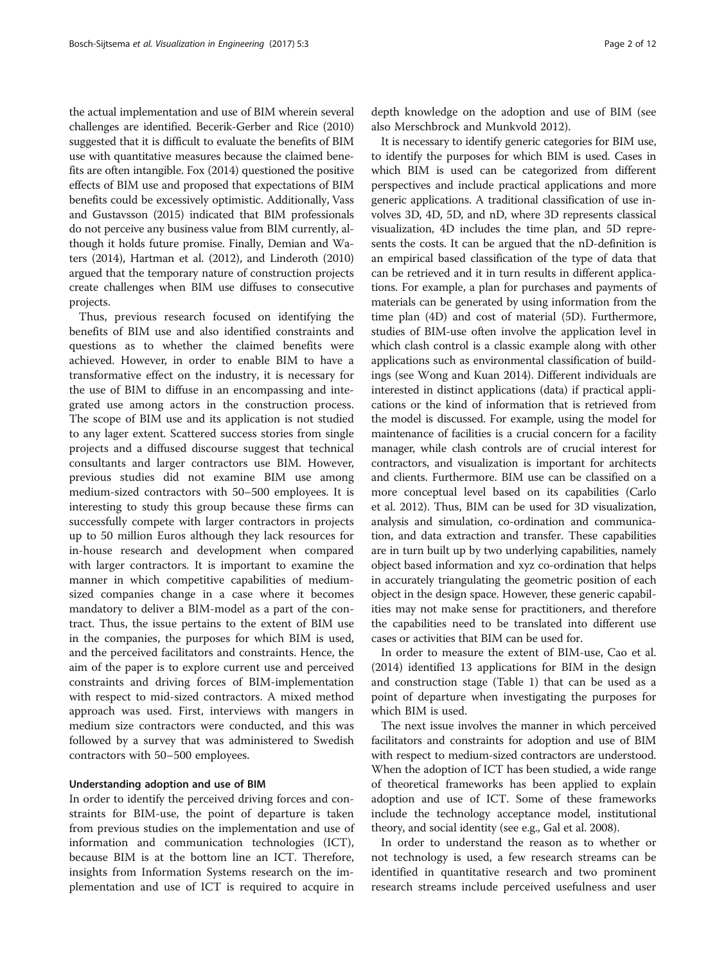the actual implementation and use of BIM wherein several challenges are identified. Becerik-Gerber and Rice [\(2010](#page-10-0)) suggested that it is difficult to evaluate the benefits of BIM use with quantitative measures because the claimed benefits are often intangible. Fox ([2014\)](#page-10-0) questioned the positive effects of BIM use and proposed that expectations of BIM benefits could be excessively optimistic. Additionally, Vass and Gustavsson ([2015](#page-11-0)) indicated that BIM professionals do not perceive any business value from BIM currently, although it holds future promise. Finally, Demian and Waters [\(2014\)](#page-10-0), Hartman et al. [\(2012\)](#page-11-0), and Linderoth [\(2010](#page-11-0)) argued that the temporary nature of construction projects create challenges when BIM use diffuses to consecutive projects.

Thus, previous research focused on identifying the benefits of BIM use and also identified constraints and questions as to whether the claimed benefits were achieved. However, in order to enable BIM to have a transformative effect on the industry, it is necessary for the use of BIM to diffuse in an encompassing and integrated use among actors in the construction process. The scope of BIM use and its application is not studied to any lager extent. Scattered success stories from single projects and a diffused discourse suggest that technical consultants and larger contractors use BIM. However, previous studies did not examine BIM use among medium-sized contractors with 50–500 employees. It is interesting to study this group because these firms can successfully compete with larger contractors in projects up to 50 million Euros although they lack resources for in-house research and development when compared with larger contractors. It is important to examine the manner in which competitive capabilities of mediumsized companies change in a case where it becomes mandatory to deliver a BIM-model as a part of the contract. Thus, the issue pertains to the extent of BIM use in the companies, the purposes for which BIM is used, and the perceived facilitators and constraints. Hence, the aim of the paper is to explore current use and perceived constraints and driving forces of BIM-implementation with respect to mid-sized contractors. A mixed method approach was used. First, interviews with mangers in medium size contractors were conducted, and this was followed by a survey that was administered to Swedish contractors with 50–500 employees.

## Understanding adoption and use of BIM

In order to identify the perceived driving forces and constraints for BIM-use, the point of departure is taken from previous studies on the implementation and use of information and communication technologies (ICT), because BIM is at the bottom line an ICT. Therefore, insights from Information Systems research on the implementation and use of ICT is required to acquire in

depth knowledge on the adoption and use of BIM (see also Merschbrock and Munkvold [2012](#page-11-0)).

It is necessary to identify generic categories for BIM use, to identify the purposes for which BIM is used. Cases in which BIM is used can be categorized from different perspectives and include practical applications and more generic applications. A traditional classification of use involves 3D, 4D, 5D, and nD, where 3D represents classical visualization, 4D includes the time plan, and 5D represents the costs. It can be argued that the nD-definition is an empirical based classification of the type of data that can be retrieved and it in turn results in different applications. For example, a plan for purchases and payments of materials can be generated by using information from the time plan (4D) and cost of material (5D). Furthermore, studies of BIM-use often involve the application level in which clash control is a classic example along with other applications such as environmental classification of buildings (see Wong and Kuan [2014\)](#page-11-0). Different individuals are interested in distinct applications (data) if practical applications or the kind of information that is retrieved from the model is discussed. For example, using the model for maintenance of facilities is a crucial concern for a facility manager, while clash controls are of crucial interest for contractors, and visualization is important for architects and clients. Furthermore. BIM use can be classified on a more conceptual level based on its capabilities (Carlo et al. [2012](#page-10-0)). Thus, BIM can be used for 3D visualization, analysis and simulation, co-ordination and communication, and data extraction and transfer. These capabilities are in turn built up by two underlying capabilities, namely object based information and xyz co-ordination that helps in accurately triangulating the geometric position of each object in the design space. However, these generic capabilities may not make sense for practitioners, and therefore the capabilities need to be translated into different use cases or activities that BIM can be used for.

In order to measure the extent of BIM-use, Cao et al. ([2014\)](#page-10-0) identified 13 applications for BIM in the design and construction stage (Table [1\)](#page-2-0) that can be used as a point of departure when investigating the purposes for which BIM is used.

The next issue involves the manner in which perceived facilitators and constraints for adoption and use of BIM with respect to medium-sized contractors are understood. When the adoption of ICT has been studied, a wide range of theoretical frameworks has been applied to explain adoption and use of ICT. Some of these frameworks include the technology acceptance model, institutional theory, and social identity (see e.g., Gal et al. [2008](#page-10-0)).

In order to understand the reason as to whether or not technology is used, a few research streams can be identified in quantitative research and two prominent research streams include perceived usefulness and user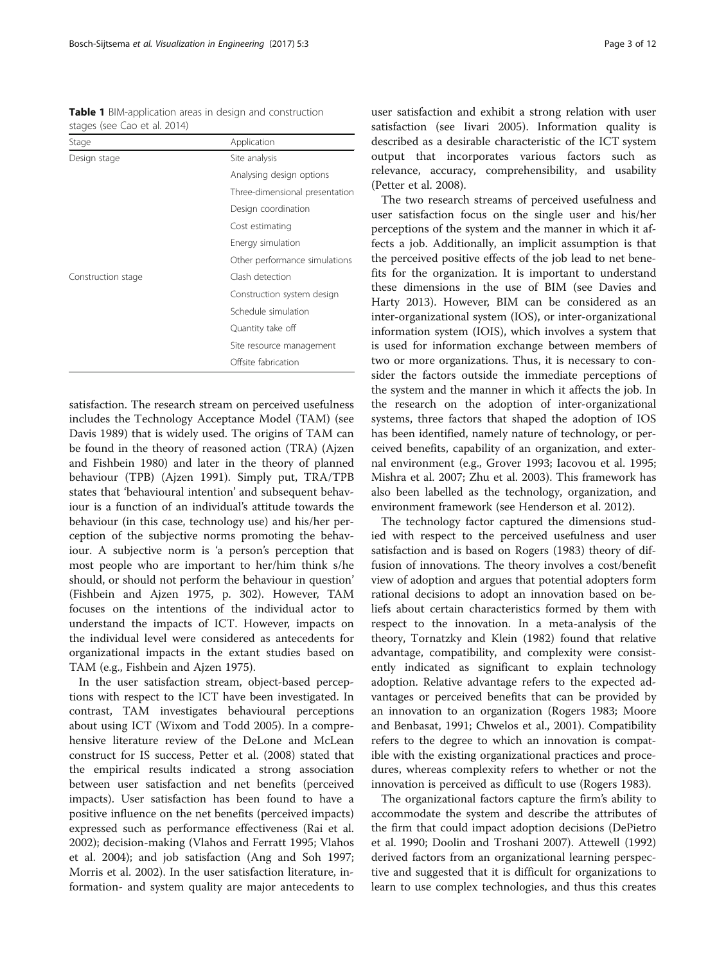<span id="page-2-0"></span>Table 1 BIM-application areas in design and construction stages (see Cao et al. [2014](#page-10-0))

| Stage              | Application                    |
|--------------------|--------------------------------|
| Design stage       | Site analysis                  |
|                    | Analysing design options       |
|                    | Three-dimensional presentation |
|                    | Design coordination            |
|                    | Cost estimating                |
|                    | Energy simulation              |
|                    | Other performance simulations  |
| Construction stage | Clash detection                |
|                    | Construction system design     |
|                    | Schedule simulation            |
|                    | Quantity take off              |
|                    | Site resource management       |
|                    | Offsite fabrication            |

satisfaction. The research stream on perceived usefulness includes the Technology Acceptance Model (TAM) (see Davis [1989\)](#page-10-0) that is widely used. The origins of TAM can be found in the theory of reasoned action (TRA) (Ajzen and Fishbein [1980\)](#page-10-0) and later in the theory of planned behaviour (TPB) (Ajzen [1991\)](#page-10-0). Simply put, TRA/TPB states that 'behavioural intention' and subsequent behaviour is a function of an individual's attitude towards the behaviour (in this case, technology use) and his/her perception of the subjective norms promoting the behaviour. A subjective norm is 'a person's perception that most people who are important to her/him think s/he should, or should not perform the behaviour in question' (Fishbein and Ajzen [1975](#page-10-0), p. 302). However, TAM focuses on the intentions of the individual actor to understand the impacts of ICT. However, impacts on the individual level were considered as antecedents for organizational impacts in the extant studies based on TAM (e.g., Fishbein and Ajzen [1975\)](#page-10-0).

In the user satisfaction stream, object-based perceptions with respect to the ICT have been investigated. In contrast, TAM investigates behavioural perceptions about using ICT (Wixom and Todd [2005\)](#page-11-0). In a comprehensive literature review of the DeLone and McLean construct for IS success, Petter et al. ([2008](#page-11-0)) stated that the empirical results indicated a strong association between user satisfaction and net benefits (perceived impacts). User satisfaction has been found to have a positive influence on the net benefits (perceived impacts) expressed such as performance effectiveness (Rai et al. [2002](#page-11-0)); decision-making (Vlahos and Ferratt [1995](#page-11-0); Vlahos et al. [2004](#page-11-0)); and job satisfaction (Ang and Soh [1997](#page-10-0); Morris et al. [2002\)](#page-11-0). In the user satisfaction literature, information- and system quality are major antecedents to

user satisfaction and exhibit a strong relation with user satisfaction (see Iivari [2005](#page-11-0)). Information quality is described as a desirable characteristic of the ICT system output that incorporates various factors such as relevance, accuracy, comprehensibility, and usability (Petter et al. [2008](#page-11-0)).

The two research streams of perceived usefulness and user satisfaction focus on the single user and his/her perceptions of the system and the manner in which it affects a job. Additionally, an implicit assumption is that the perceived positive effects of the job lead to net benefits for the organization. It is important to understand these dimensions in the use of BIM (see Davies and Harty [2013\)](#page-10-0). However, BIM can be considered as an inter-organizational system (IOS), or inter-organizational information system (IOIS), which involves a system that is used for information exchange between members of two or more organizations. Thus, it is necessary to consider the factors outside the immediate perceptions of the system and the manner in which it affects the job. In the research on the adoption of inter-organizational systems, three factors that shaped the adoption of IOS has been identified, namely nature of technology, or perceived benefits, capability of an organization, and external environment (e.g., Grover [1993](#page-11-0); Iacovou et al. [1995](#page-11-0); Mishra et al. [2007;](#page-11-0) Zhu et al. [2003\)](#page-11-0). This framework has also been labelled as the technology, organization, and environment framework (see Henderson et al. [2012\)](#page-11-0).

The technology factor captured the dimensions studied with respect to the perceived usefulness and user satisfaction and is based on Rogers [\(1983\)](#page-11-0) theory of diffusion of innovations. The theory involves a cost/benefit view of adoption and argues that potential adopters form rational decisions to adopt an innovation based on beliefs about certain characteristics formed by them with respect to the innovation. In a meta-analysis of the theory, Tornatzky and Klein [\(1982\)](#page-11-0) found that relative advantage, compatibility, and complexity were consistently indicated as significant to explain technology adoption. Relative advantage refers to the expected advantages or perceived benefits that can be provided by an innovation to an organization (Rogers [1983;](#page-11-0) Moore and Benbasat, [1991](#page-11-0); Chwelos et al., [2001](#page-10-0)). Compatibility refers to the degree to which an innovation is compatible with the existing organizational practices and procedures, whereas complexity refers to whether or not the innovation is perceived as difficult to use (Rogers [1983](#page-11-0)).

The organizational factors capture the firm's ability to accommodate the system and describe the attributes of the firm that could impact adoption decisions (DePietro et al. [1990;](#page-10-0) Doolin and Troshani [2007\)](#page-10-0). Attewell ([1992](#page-10-0)) derived factors from an organizational learning perspective and suggested that it is difficult for organizations to learn to use complex technologies, and thus this creates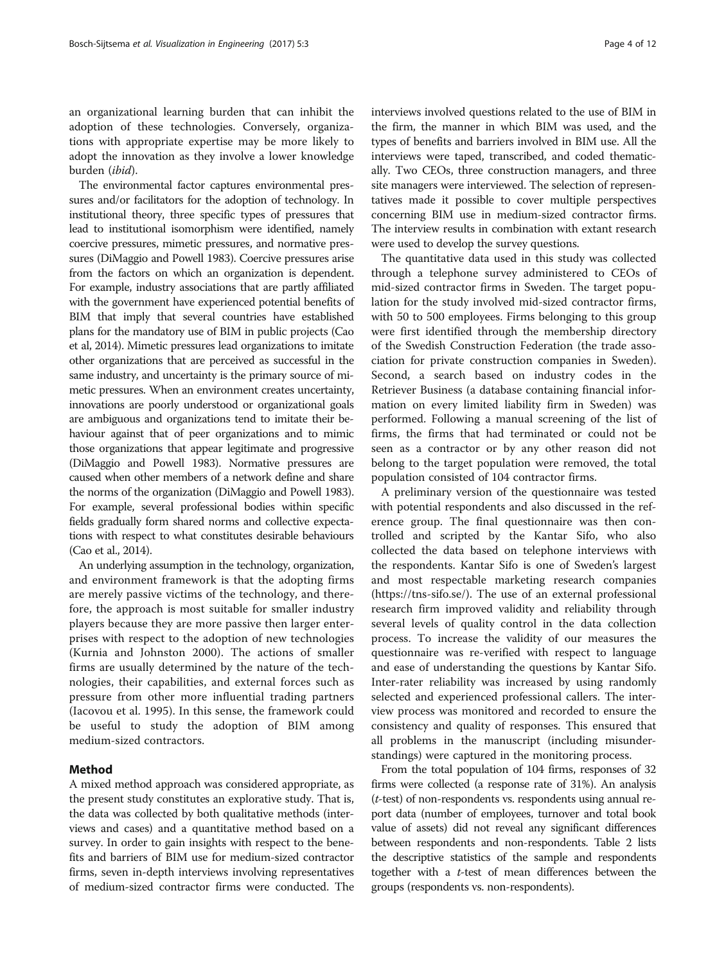an organizational learning burden that can inhibit the adoption of these technologies. Conversely, organizations with appropriate expertise may be more likely to adopt the innovation as they involve a lower knowledge burden (ibid).

The environmental factor captures environmental pressures and/or facilitators for the adoption of technology. In institutional theory, three specific types of pressures that lead to institutional isomorphism were identified, namely coercive pressures, mimetic pressures, and normative pressures (DiMaggio and Powell [1983\)](#page-10-0). Coercive pressures arise from the factors on which an organization is dependent. For example, industry associations that are partly affiliated with the government have experienced potential benefits of BIM that imply that several countries have established plans for the mandatory use of BIM in public projects (Cao et al, [2014\)](#page-10-0). Mimetic pressures lead organizations to imitate other organizations that are perceived as successful in the same industry, and uncertainty is the primary source of mimetic pressures. When an environment creates uncertainty, innovations are poorly understood or organizational goals are ambiguous and organizations tend to imitate their behaviour against that of peer organizations and to mimic those organizations that appear legitimate and progressive (DiMaggio and Powell [1983\)](#page-10-0). Normative pressures are caused when other members of a network define and share the norms of the organization (DiMaggio and Powell [1983](#page-10-0)). For example, several professional bodies within specific fields gradually form shared norms and collective expectations with respect to what constitutes desirable behaviours (Cao et al., [2014\)](#page-10-0).

An underlying assumption in the technology, organization, and environment framework is that the adopting firms are merely passive victims of the technology, and therefore, the approach is most suitable for smaller industry players because they are more passive then larger enterprises with respect to the adoption of new technologies (Kurnia and Johnston [2000](#page-11-0)). The actions of smaller firms are usually determined by the nature of the technologies, their capabilities, and external forces such as pressure from other more influential trading partners (Iacovou et al. [1995](#page-11-0)). In this sense, the framework could be useful to study the adoption of BIM among medium-sized contractors.

# Method

A mixed method approach was considered appropriate, as the present study constitutes an explorative study. That is, the data was collected by both qualitative methods (interviews and cases) and a quantitative method based on a survey. In order to gain insights with respect to the benefits and barriers of BIM use for medium-sized contractor firms, seven in-depth interviews involving representatives of medium-sized contractor firms were conducted. The interviews involved questions related to the use of BIM in the firm, the manner in which BIM was used, and the types of benefits and barriers involved in BIM use. All the interviews were taped, transcribed, and coded thematically. Two CEOs, three construction managers, and three site managers were interviewed. The selection of representatives made it possible to cover multiple perspectives concerning BIM use in medium-sized contractor firms. The interview results in combination with extant research were used to develop the survey questions.

The quantitative data used in this study was collected through a telephone survey administered to CEOs of mid-sized contractor firms in Sweden. The target population for the study involved mid-sized contractor firms, with 50 to 500 employees. Firms belonging to this group were first identified through the membership directory of the Swedish Construction Federation (the trade association for private construction companies in Sweden). Second, a search based on industry codes in the Retriever Business (a database containing financial information on every limited liability firm in Sweden) was performed. Following a manual screening of the list of firms, the firms that had terminated or could not be seen as a contractor or by any other reason did not belong to the target population were removed, the total population consisted of 104 contractor firms.

A preliminary version of the questionnaire was tested with potential respondents and also discussed in the reference group. The final questionnaire was then controlled and scripted by the Kantar Sifo, who also collected the data based on telephone interviews with the respondents. Kantar Sifo is one of Sweden's largest and most respectable marketing research companies (<https://tns-sifo.se/>). The use of an external professional research firm improved validity and reliability through several levels of quality control in the data collection process. To increase the validity of our measures the questionnaire was re-verified with respect to language and ease of understanding the questions by Kantar Sifo. Inter-rater reliability was increased by using randomly selected and experienced professional callers. The interview process was monitored and recorded to ensure the consistency and quality of responses. This ensured that all problems in the manuscript (including misunderstandings) were captured in the monitoring process.

From the total population of 104 firms, responses of 32 firms were collected (a response rate of 31%). An analysis (t-test) of non-respondents vs. respondents using annual report data (number of employees, turnover and total book value of assets) did not reveal any significant differences between respondents and non-respondents. Table [2](#page-4-0) lists the descriptive statistics of the sample and respondents together with a t-test of mean differences between the groups (respondents vs. non-respondents).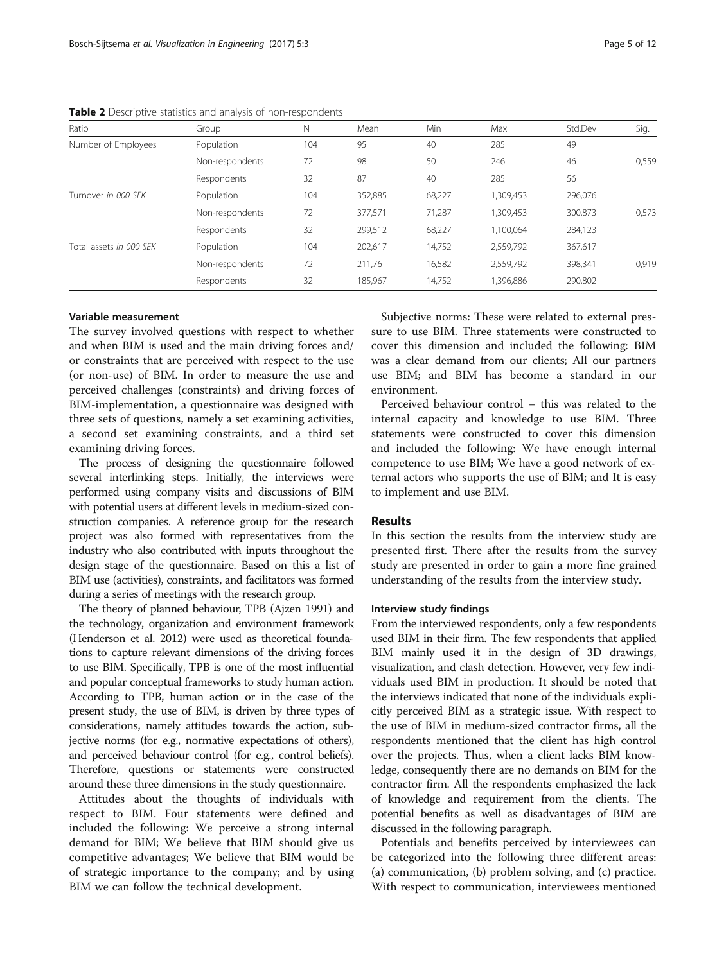| Ratio                   | Group           | N   | Mean    | Min    | Max       | Std.Dev | Sig.  |
|-------------------------|-----------------|-----|---------|--------|-----------|---------|-------|
| Number of Employees     | Population      | 104 | 95      | 40     | 285       | 49      |       |
|                         | Non-respondents | 72  | 98      | 50     | 246       | 46      | 0,559 |
|                         | Respondents     | 32  | 87      | 40     | 285       | 56      |       |
| Turnover in 000 SFK     | Population      | 104 | 352,885 | 68,227 | 1,309,453 | 296,076 |       |
|                         | Non-respondents | 72  | 377,571 | 71,287 | 1,309,453 | 300,873 | 0,573 |
|                         | Respondents     | 32  | 299,512 | 68,227 | 1,100,064 | 284,123 |       |
| Total assets in 000 SEK | Population      | 104 | 202,617 | 14,752 | 2,559,792 | 367,617 |       |
|                         | Non-respondents | 72  | 211,76  | 16,582 | 2,559,792 | 398.341 | 0,919 |
|                         | Respondents     | 32  | 185,967 | 14,752 | 1,396,886 | 290,802 |       |

<span id="page-4-0"></span>Table 2 Descriptive statistics and analysis of non-respondents

# Variable measurement

The survey involved questions with respect to whether and when BIM is used and the main driving forces and/ or constraints that are perceived with respect to the use (or non-use) of BIM. In order to measure the use and perceived challenges (constraints) and driving forces of BIM-implementation, a questionnaire was designed with three sets of questions, namely a set examining activities, a second set examining constraints, and a third set examining driving forces.

The process of designing the questionnaire followed several interlinking steps. Initially, the interviews were performed using company visits and discussions of BIM with potential users at different levels in medium-sized construction companies. A reference group for the research project was also formed with representatives from the industry who also contributed with inputs throughout the design stage of the questionnaire. Based on this a list of BIM use (activities), constraints, and facilitators was formed during a series of meetings with the research group.

The theory of planned behaviour, TPB (Ajzen [1991](#page-10-0)) and the technology, organization and environment framework (Henderson et al. [2012](#page-11-0)) were used as theoretical foundations to capture relevant dimensions of the driving forces to use BIM. Specifically, TPB is one of the most influential and popular conceptual frameworks to study human action. According to TPB, human action or in the case of the present study, the use of BIM, is driven by three types of considerations, namely attitudes towards the action, subjective norms (for e.g., normative expectations of others), and perceived behaviour control (for e.g., control beliefs). Therefore, questions or statements were constructed around these three dimensions in the study questionnaire.

Attitudes about the thoughts of individuals with respect to BIM. Four statements were defined and included the following: We perceive a strong internal demand for BIM; We believe that BIM should give us competitive advantages; We believe that BIM would be of strategic importance to the company; and by using BIM we can follow the technical development.

Subjective norms: These were related to external pressure to use BIM. Three statements were constructed to cover this dimension and included the following: BIM was a clear demand from our clients; All our partners use BIM; and BIM has become a standard in our environment.

Perceived behaviour control – this was related to the internal capacity and knowledge to use BIM. Three statements were constructed to cover this dimension and included the following: We have enough internal competence to use BIM; We have a good network of external actors who supports the use of BIM; and It is easy to implement and use BIM.

# Results

In this section the results from the interview study are presented first. There after the results from the survey study are presented in order to gain a more fine grained understanding of the results from the interview study.

# Interview study findings

From the interviewed respondents, only a few respondents used BIM in their firm. The few respondents that applied BIM mainly used it in the design of 3D drawings, visualization, and clash detection. However, very few individuals used BIM in production. It should be noted that the interviews indicated that none of the individuals explicitly perceived BIM as a strategic issue. With respect to the use of BIM in medium-sized contractor firms, all the respondents mentioned that the client has high control over the projects. Thus, when a client lacks BIM knowledge, consequently there are no demands on BIM for the contractor firm. All the respondents emphasized the lack of knowledge and requirement from the clients. The potential benefits as well as disadvantages of BIM are discussed in the following paragraph.

Potentials and benefits perceived by interviewees can be categorized into the following three different areas: (a) communication, (b) problem solving, and (c) practice. With respect to communication, interviewees mentioned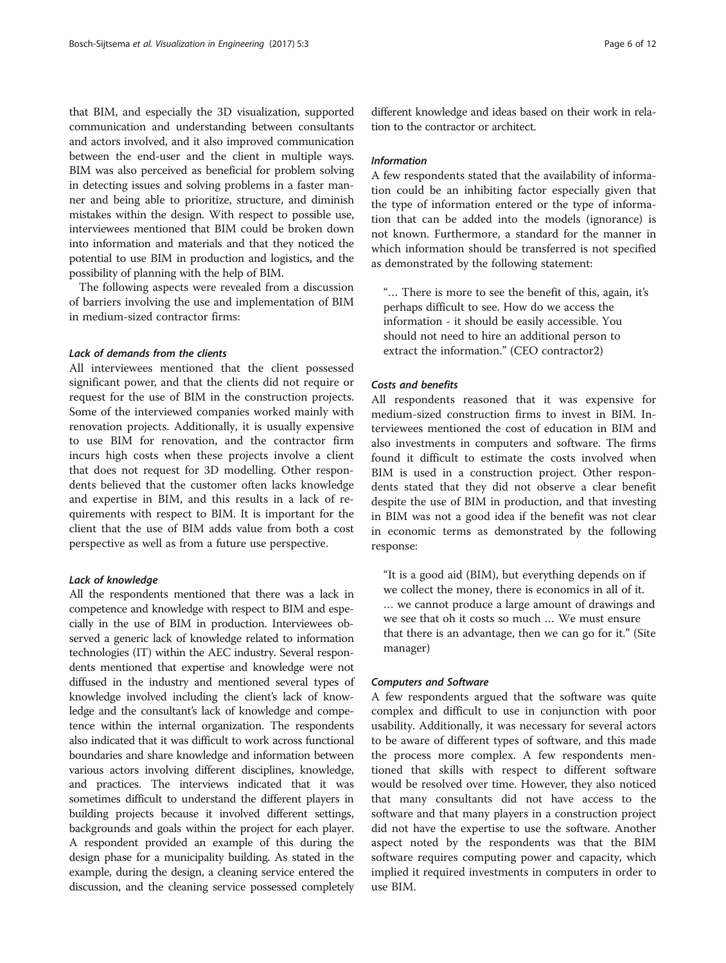that BIM, and especially the 3D visualization, supported communication and understanding between consultants and actors involved, and it also improved communication between the end-user and the client in multiple ways. BIM was also perceived as beneficial for problem solving in detecting issues and solving problems in a faster manner and being able to prioritize, structure, and diminish mistakes within the design. With respect to possible use, interviewees mentioned that BIM could be broken down into information and materials and that they noticed the potential to use BIM in production and logistics, and the possibility of planning with the help of BIM.

The following aspects were revealed from a discussion of barriers involving the use and implementation of BIM in medium-sized contractor firms:

# Lack of demands from the clients

All interviewees mentioned that the client possessed significant power, and that the clients did not require or request for the use of BIM in the construction projects. Some of the interviewed companies worked mainly with renovation projects. Additionally, it is usually expensive to use BIM for renovation, and the contractor firm incurs high costs when these projects involve a client that does not request for 3D modelling. Other respondents believed that the customer often lacks knowledge and expertise in BIM, and this results in a lack of requirements with respect to BIM. It is important for the client that the use of BIM adds value from both a cost perspective as well as from a future use perspective.

# Lack of knowledge

All the respondents mentioned that there was a lack in competence and knowledge with respect to BIM and especially in the use of BIM in production. Interviewees observed a generic lack of knowledge related to information technologies (IT) within the AEC industry. Several respondents mentioned that expertise and knowledge were not diffused in the industry and mentioned several types of knowledge involved including the client's lack of knowledge and the consultant's lack of knowledge and competence within the internal organization. The respondents also indicated that it was difficult to work across functional boundaries and share knowledge and information between various actors involving different disciplines, knowledge, and practices. The interviews indicated that it was sometimes difficult to understand the different players in building projects because it involved different settings, backgrounds and goals within the project for each player. A respondent provided an example of this during the design phase for a municipality building. As stated in the example, during the design, a cleaning service entered the discussion, and the cleaning service possessed completely

different knowledge and ideas based on their work in relation to the contractor or architect.

# Information

A few respondents stated that the availability of information could be an inhibiting factor especially given that the type of information entered or the type of information that can be added into the models (ignorance) is not known. Furthermore, a standard for the manner in which information should be transferred is not specified as demonstrated by the following statement:

"… There is more to see the benefit of this, again, it's perhaps difficult to see. How do we access the information - it should be easily accessible. You should not need to hire an additional person to extract the information." (CEO contractor2)

# Costs and benefits

All respondents reasoned that it was expensive for medium-sized construction firms to invest in BIM. Interviewees mentioned the cost of education in BIM and also investments in computers and software. The firms found it difficult to estimate the costs involved when BIM is used in a construction project. Other respondents stated that they did not observe a clear benefit despite the use of BIM in production, and that investing in BIM was not a good idea if the benefit was not clear in economic terms as demonstrated by the following response:

"It is a good aid (BIM), but everything depends on if we collect the money, there is economics in all of it. … we cannot produce a large amount of drawings and we see that oh it costs so much … We must ensure that there is an advantage, then we can go for it." (Site manager)

# Computers and Software

A few respondents argued that the software was quite complex and difficult to use in conjunction with poor usability. Additionally, it was necessary for several actors to be aware of different types of software, and this made the process more complex. A few respondents mentioned that skills with respect to different software would be resolved over time. However, they also noticed that many consultants did not have access to the software and that many players in a construction project did not have the expertise to use the software. Another aspect noted by the respondents was that the BIM software requires computing power and capacity, which implied it required investments in computers in order to use BIM.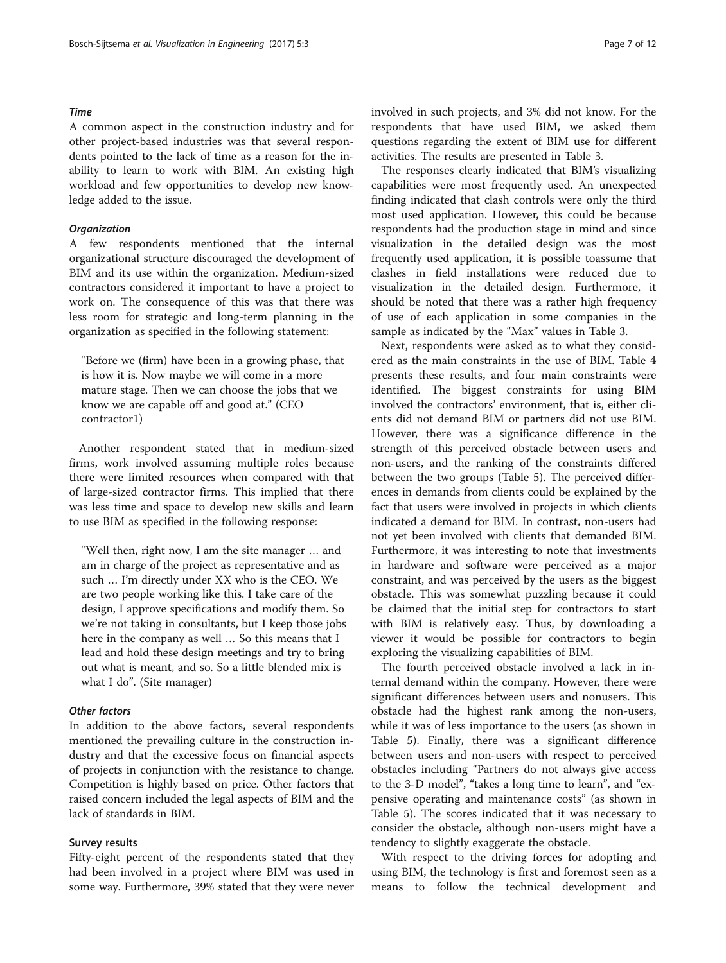# Time

A common aspect in the construction industry and for other project-based industries was that several respondents pointed to the lack of time as a reason for the inability to learn to work with BIM. An existing high workload and few opportunities to develop new knowledge added to the issue.

## **Organization**

A few respondents mentioned that the internal organizational structure discouraged the development of BIM and its use within the organization. Medium-sized contractors considered it important to have a project to work on. The consequence of this was that there was less room for strategic and long-term planning in the organization as specified in the following statement:

"Before we (firm) have been in a growing phase, that is how it is. Now maybe we will come in a more mature stage. Then we can choose the jobs that we know we are capable off and good at." (CEO contractor1)

Another respondent stated that in medium-sized firms, work involved assuming multiple roles because there were limited resources when compared with that of large-sized contractor firms. This implied that there was less time and space to develop new skills and learn to use BIM as specified in the following response:

"Well then, right now, I am the site manager … and am in charge of the project as representative and as such … I'm directly under XX who is the CEO. We are two people working like this. I take care of the design, I approve specifications and modify them. So we're not taking in consultants, but I keep those jobs here in the company as well … So this means that I lead and hold these design meetings and try to bring out what is meant, and so. So a little blended mix is what I do". (Site manager)

# Other factors

In addition to the above factors, several respondents mentioned the prevailing culture in the construction industry and that the excessive focus on financial aspects of projects in conjunction with the resistance to change. Competition is highly based on price. Other factors that raised concern included the legal aspects of BIM and the lack of standards in BIM.

# Survey results

Fifty-eight percent of the respondents stated that they had been involved in a project where BIM was used in some way. Furthermore, 39% stated that they were never involved in such projects, and 3% did not know. For the respondents that have used BIM, we asked them questions regarding the extent of BIM use for different activities. The results are presented in Table [3](#page-7-0).

The responses clearly indicated that BIM's visualizing capabilities were most frequently used. An unexpected finding indicated that clash controls were only the third most used application. However, this could be because respondents had the production stage in mind and since visualization in the detailed design was the most frequently used application, it is possible toassume that clashes in field installations were reduced due to visualization in the detailed design. Furthermore, it should be noted that there was a rather high frequency of use of each application in some companies in the sample as indicated by the "Max" values in Table [3](#page-7-0).

Next, respondents were asked as to what they considered as the main constraints in the use of BIM. Table [4](#page-7-0) presents these results, and four main constraints were identified. The biggest constraints for using BIM involved the contractors' environment, that is, either clients did not demand BIM or partners did not use BIM. However, there was a significance difference in the strength of this perceived obstacle between users and non-users, and the ranking of the constraints differed between the two groups (Table [5\)](#page-8-0). The perceived differences in demands from clients could be explained by the fact that users were involved in projects in which clients indicated a demand for BIM. In contrast, non-users had not yet been involved with clients that demanded BIM. Furthermore, it was interesting to note that investments in hardware and software were perceived as a major constraint, and was perceived by the users as the biggest obstacle. This was somewhat puzzling because it could be claimed that the initial step for contractors to start with BIM is relatively easy. Thus, by downloading a viewer it would be possible for contractors to begin exploring the visualizing capabilities of BIM.

The fourth perceived obstacle involved a lack in internal demand within the company. However, there were significant differences between users and nonusers. This obstacle had the highest rank among the non-users, while it was of less importance to the users (as shown in Table [5\)](#page-8-0). Finally, there was a significant difference between users and non-users with respect to perceived obstacles including "Partners do not always give access to the 3-D model", "takes a long time to learn", and "expensive operating and maintenance costs" (as shown in Table [5](#page-8-0)). The scores indicated that it was necessary to consider the obstacle, although non-users might have a tendency to slightly exaggerate the obstacle.

With respect to the driving forces for adopting and using BIM, the technology is first and foremost seen as a means to follow the technical development and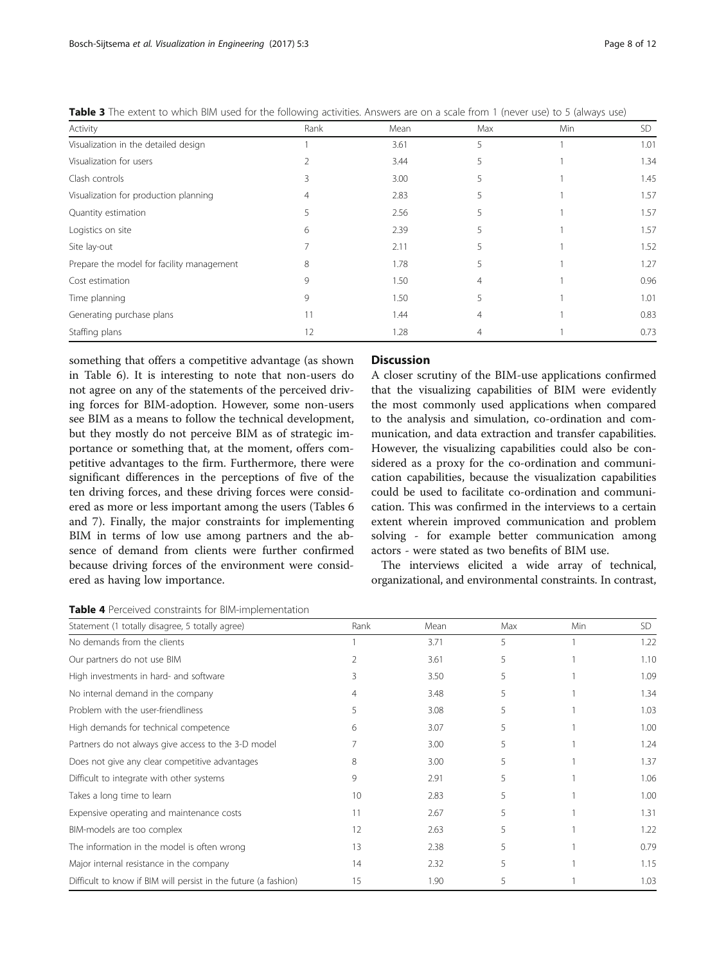| Activity                                  | Rank | Mean | Max | Min | SD   |
|-------------------------------------------|------|------|-----|-----|------|
| Visualization in the detailed design      |      | 3.61 | 5   |     | 1.01 |
| Visualization for users                   |      | 3.44 | 5   |     | 1.34 |
| Clash controls                            | 3    | 3.00 | 5   |     | 1.45 |
| Visualization for production planning     | 4    | 2.83 | 5   |     | 1.57 |
| Quantity estimation                       | 5    | 2.56 | 5   |     | 1.57 |
| Logistics on site                         | 6    | 2.39 | 5   |     | 1.57 |
| Site lay-out                              |      | 2.11 | 5   |     | 1.52 |
| Prepare the model for facility management | 8    | 1.78 | 5   |     | 1.27 |
| Cost estimation                           | 9    | 1.50 | 4   |     | 0.96 |
| Time planning                             | 9    | 1.50 | 5   |     | 1.01 |
| Generating purchase plans                 | 11   | 1.44 | 4   |     | 0.83 |
| Staffing plans                            | 12   | 1.28 | 4   |     | 0.73 |

<span id="page-7-0"></span>Table 3 The extent to which BIM used for the following activities. Answers are on a scale from 1 (never use) to 5 (always use)

something that offers a competitive advantage (as shown in Table [6\)](#page-8-0). It is interesting to note that non-users do not agree on any of the statements of the perceived driving forces for BIM-adoption. However, some non-users see BIM as a means to follow the technical development, but they mostly do not perceive BIM as of strategic importance or something that, at the moment, offers competitive advantages to the firm. Furthermore, there were significant differences in the perceptions of five of the ten driving forces, and these driving forces were considered as more or less important among the users (Tables [6](#page-8-0) and [7\)](#page-9-0). Finally, the major constraints for implementing BIM in terms of low use among partners and the absence of demand from clients were further confirmed because driving forces of the environment were considered as having low importance.

# **Discussion**

A closer scrutiny of the BIM-use applications confirmed that the visualizing capabilities of BIM were evidently the most commonly used applications when compared to the analysis and simulation, co-ordination and communication, and data extraction and transfer capabilities. However, the visualizing capabilities could also be considered as a proxy for the co-ordination and communication capabilities, because the visualization capabilities could be used to facilitate co-ordination and communication. This was confirmed in the interviews to a certain extent wherein improved communication and problem solving - for example better communication among actors - were stated as two benefits of BIM use.

The interviews elicited a wide array of technical, organizational, and environmental constraints. In contrast,

Table 4 Perceived constraints for BIM-implementation

| Statement (1 totally disagree, 5 totally agree)                 | Rank | Mean | Max | Min | SD   |
|-----------------------------------------------------------------|------|------|-----|-----|------|
| No demands from the clients                                     |      | 3.71 | 5   |     | 1.22 |
| Our partners do not use BIM                                     | 2    | 3.61 | 5   |     | 1.10 |
| High investments in hard- and software                          | 3    | 3.50 | 5   |     | 1.09 |
| No internal demand in the company                               | 4    | 3.48 | 5   |     | 1.34 |
| Problem with the user-friendliness                              | 5    | 3.08 | 5   |     | 1.03 |
| High demands for technical competence                           | 6    | 3.07 | 5   |     | 1.00 |
| Partners do not always give access to the 3-D model             |      | 3.00 | 5   |     | 1.24 |
| Does not give any clear competitive advantages                  | 8    | 3.00 | 5   |     | 1.37 |
| Difficult to integrate with other systems                       | 9    | 2.91 | 5   |     | 1.06 |
| Takes a long time to learn                                      | 10   | 2.83 | 5   |     | 1.00 |
| Expensive operating and maintenance costs                       | 11   | 2.67 | 5   |     | 1.31 |
| BIM-models are too complex                                      | 12   | 2.63 | 5   |     | 1.22 |
| The information in the model is often wrong                     | 13   | 2.38 | 5   |     | 0.79 |
| Major internal resistance in the company                        | 14   | 2.32 | 5   |     | 1.15 |
| Difficult to know if BIM will persist in the future (a fashion) | 15   | 1.90 | 5   |     | 1.03 |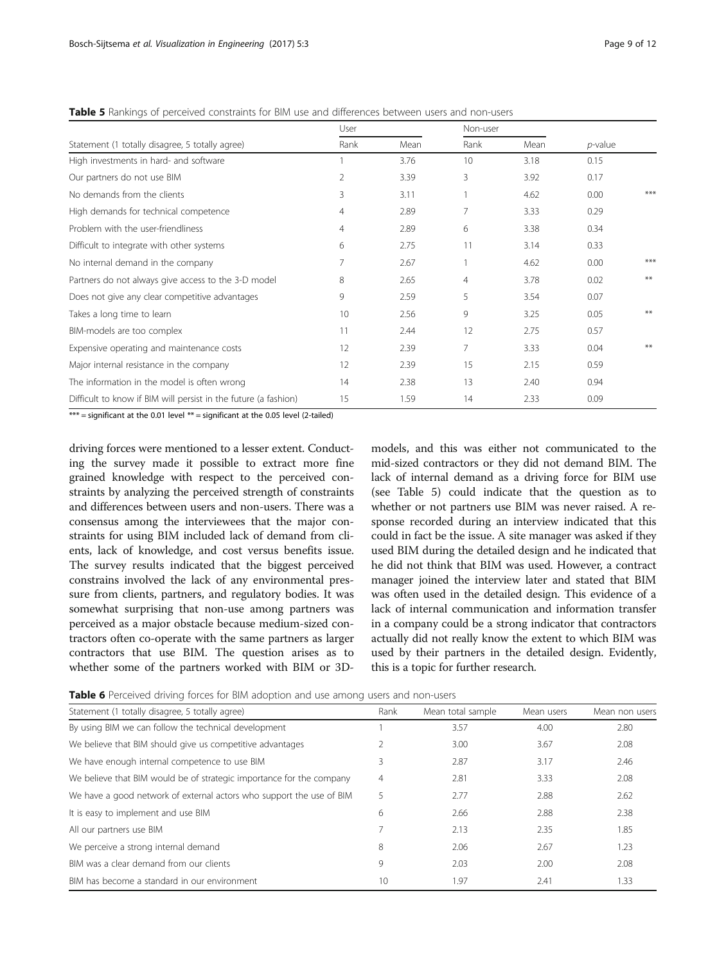<span id="page-8-0"></span>

| <b>Table 5</b> Rankings of perceived constraints for BIM use and differences between users and non-users |  |  |  |  |  |  |  |
|----------------------------------------------------------------------------------------------------------|--|--|--|--|--|--|--|
|----------------------------------------------------------------------------------------------------------|--|--|--|--|--|--|--|

|                                                                 | User           |      | Non-user       |      |            |       |
|-----------------------------------------------------------------|----------------|------|----------------|------|------------|-------|
| Statement (1 totally disagree, 5 totally agree)                 | Rank           | Mean | Rank           | Mean | $p$ -value |       |
| High investments in hard- and software                          |                | 3.76 | 10             | 3.18 | 0.15       |       |
| Our partners do not use BIM                                     | 2              | 3.39 | 3              | 3.92 | 0.17       |       |
| No demands from the clients                                     | 3              | 3.11 |                | 4.62 | 0.00       | $***$ |
| High demands for technical competence                           | 4              | 2.89 | 7              | 3.33 | 0.29       |       |
| Problem with the user-friendliness                              | $\overline{4}$ | 2.89 | 6              | 3.38 | 0.34       |       |
| Difficult to integrate with other systems                       | 6              | 2.75 | 11             | 3.14 | 0.33       |       |
| No internal demand in the company                               |                | 2.67 |                | 4.62 | 0.00       | $***$ |
| Partners do not always give access to the 3-D model             | 8              | 2.65 | $\overline{4}$ | 3.78 | 0.02       | $**$  |
| Does not give any clear competitive advantages                  | 9              | 2.59 | 5              | 3.54 | 0.07       |       |
| Takes a long time to learn                                      | 10             | 2.56 | 9              | 3.25 | 0.05       | $***$ |
| BIM-models are too complex                                      | 11             | 2.44 | 12             | 2.75 | 0.57       |       |
| Expensive operating and maintenance costs                       | 12             | 2.39 | 7              | 3.33 | 0.04       | $**$  |
| Major internal resistance in the company                        | 12             | 2.39 | 15             | 2.15 | 0.59       |       |
| The information in the model is often wrong                     | 14             | 2.38 | 13             | 2.40 | 0.94       |       |
| Difficult to know if BIM will persist in the future (a fashion) | 15             | 1.59 | 14             | 2.33 | 0.09       |       |

 $***$  = significant at the 0.01 level  $**$  = significant at the 0.05 level (2-tailed)

driving forces were mentioned to a lesser extent. Conducting the survey made it possible to extract more fine grained knowledge with respect to the perceived constraints by analyzing the perceived strength of constraints and differences between users and non-users. There was a consensus among the interviewees that the major constraints for using BIM included lack of demand from clients, lack of knowledge, and cost versus benefits issue. The survey results indicated that the biggest perceived constrains involved the lack of any environmental pressure from clients, partners, and regulatory bodies. It was somewhat surprising that non-use among partners was perceived as a major obstacle because medium-sized contractors often co-operate with the same partners as larger contractors that use BIM. The question arises as to whether some of the partners worked with BIM or 3D- models, and this was either not communicated to the mid-sized contractors or they did not demand BIM. The lack of internal demand as a driving force for BIM use (see Table 5) could indicate that the question as to whether or not partners use BIM was never raised. A response recorded during an interview indicated that this could in fact be the issue. A site manager was asked if they used BIM during the detailed design and he indicated that he did not think that BIM was used. However, a contract manager joined the interview later and stated that BIM was often used in the detailed design. This evidence of a lack of internal communication and information transfer in a company could be a strong indicator that contractors actually did not really know the extent to which BIM was used by their partners in the detailed design. Evidently, this is a topic for further research.

**Table 6** Perceived driving forces for BIM adoption and use among users and non-users

| Statement (1 totally disagree, 5 totally agree)                      | Rank | Mean total sample | Mean users | Mean non users |
|----------------------------------------------------------------------|------|-------------------|------------|----------------|
| By using BIM we can follow the technical development                 |      | 3.57              | 4.00       | 2.80           |
| We believe that BIM should give us competitive advantages            |      | 3.00              | 3.67       | 2.08           |
| We have enough internal competence to use BIM                        | 3    | 2.87              | 3.17       | 2.46           |
| We believe that BIM would be of strategic importance for the company | 4    | 2.81              | 3.33       | 2.08           |
| We have a good network of external actors who support the use of BIM | 5    | 2.77              | 2.88       | 2.62           |
| It is easy to implement and use BIM                                  | 6    | 2.66              | 2.88       | 2.38           |
| All our partners use BIM                                             |      | 2.13              | 2.35       | 1.85           |
| We perceive a strong internal demand                                 | 8    | 2.06              | 2.67       | 1.23           |
| BIM was a clear demand from our clients                              | 9    | 2.03              | 2.00       | 2.08           |
| BIM has become a standard in our environment                         | 10   | 1.97              | 2.41       | 1.33           |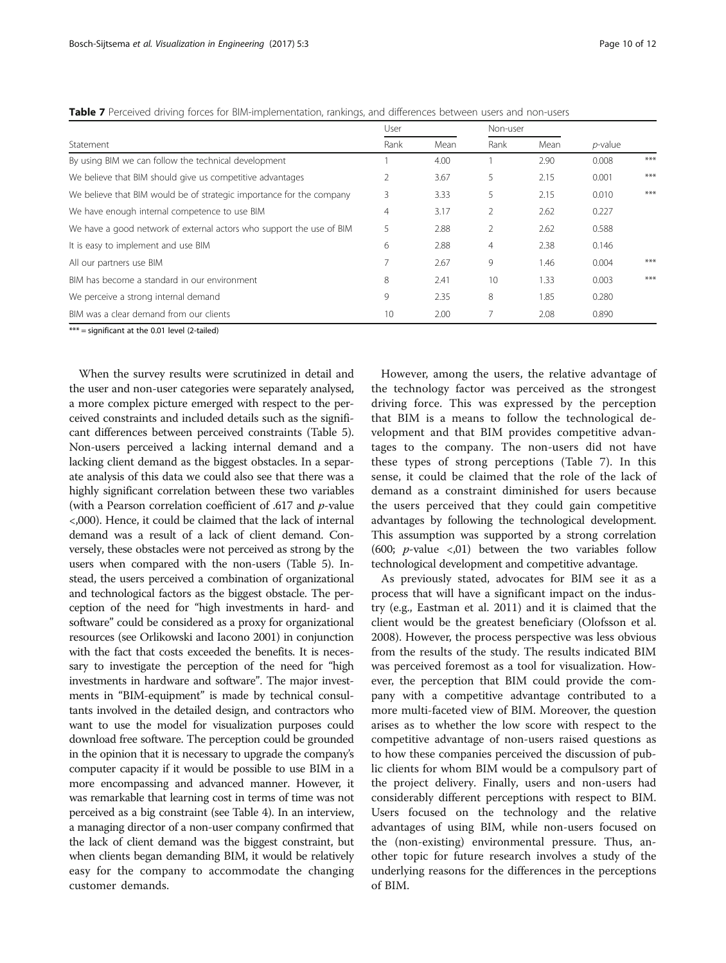|                                                                      | User           |      | Non-user       |      |            |       |
|----------------------------------------------------------------------|----------------|------|----------------|------|------------|-------|
| Statement                                                            | Rank           | Mean | Rank           | Mean | $p$ -value |       |
| By using BIM we can follow the technical development                 |                | 4.00 |                | 2.90 | 0.008      | $***$ |
| We believe that BIM should give us competitive advantages            | $\overline{2}$ | 3.67 | 5              | 2.15 | 0.001      | $***$ |
| We believe that BIM would be of strategic importance for the company | 3              | 3.33 | 5              | 2.15 | 0.010      | $***$ |
| We have enough internal competence to use BIM                        | $\overline{4}$ | 3.17 | 2              | 2.62 | 0.227      |       |
| We have a good network of external actors who support the use of BIM | 5              | 2.88 | 2              | 2.62 | 0.588      |       |
| It is easy to implement and use BIM                                  | 6              | 2.88 | $\overline{4}$ | 2.38 | 0.146      |       |
| All our partners use BIM                                             | $\overline{7}$ | 2.67 | 9              | 1.46 | 0.004      | $***$ |
| BIM has become a standard in our environment                         | 8              | 2.41 | 10             | 1.33 | 0.003      | $***$ |
| We perceive a strong internal demand                                 | 9              | 2.35 | 8              | 1.85 | 0.280      |       |
| BIM was a clear demand from our clients                              | 10             | 2.00 | 7              | 2.08 | 0.890      |       |
| $***$ = significant at the 0.01 level (2-tailed)                     |                |      |                |      |            |       |

<span id="page-9-0"></span>Table 7 Perceived driving forces for BIM-implementation, rankings, and differences between users and non-users

When the survey results were scrutinized in detail and the user and non-user categories were separately analysed, a more complex picture emerged with respect to the perceived constraints and included details such as the significant differences between perceived constraints (Table [5](#page-8-0)). Non-users perceived a lacking internal demand and a lacking client demand as the biggest obstacles. In a separate analysis of this data we could also see that there was a highly significant correlation between these two variables (with a Pearson correlation coefficient of .617 and p-value <,000). Hence, it could be claimed that the lack of internal demand was a result of a lack of client demand. Conversely, these obstacles were not perceived as strong by the users when compared with the non-users (Table [5\)](#page-8-0). Instead, the users perceived a combination of organizational and technological factors as the biggest obstacle. The perception of the need for "high investments in hard- and software" could be considered as a proxy for organizational resources (see Orlikowski and Iacono [2001\)](#page-11-0) in conjunction with the fact that costs exceeded the benefits. It is necessary to investigate the perception of the need for "high investments in hardware and software". The major investments in "BIM-equipment" is made by technical consultants involved in the detailed design, and contractors who want to use the model for visualization purposes could download free software. The perception could be grounded in the opinion that it is necessary to upgrade the company's computer capacity if it would be possible to use BIM in a more encompassing and advanced manner. However, it was remarkable that learning cost in terms of time was not perceived as a big constraint (see Table [4\)](#page-7-0). In an interview, a managing director of a non-user company confirmed that the lack of client demand was the biggest constraint, but when clients began demanding BIM, it would be relatively easy for the company to accommodate the changing customer demands.

However, among the users, the relative advantage of the technology factor was perceived as the strongest driving force. This was expressed by the perception that BIM is a means to follow the technological development and that BIM provides competitive advantages to the company. The non-users did not have these types of strong perceptions (Table 7). In this sense, it could be claimed that the role of the lack of demand as a constraint diminished for users because the users perceived that they could gain competitive advantages by following the technological development. This assumption was supported by a strong correlation (600;  $p$ -value <,01) between the two variables follow technological development and competitive advantage.

As previously stated, advocates for BIM see it as a process that will have a significant impact on the industry (e.g., Eastman et al. [2011\)](#page-10-0) and it is claimed that the client would be the greatest beneficiary (Olofsson et al. [2008](#page-11-0)). However, the process perspective was less obvious from the results of the study. The results indicated BIM was perceived foremost as a tool for visualization. However, the perception that BIM could provide the company with a competitive advantage contributed to a more multi-faceted view of BIM. Moreover, the question arises as to whether the low score with respect to the competitive advantage of non-users raised questions as to how these companies perceived the discussion of public clients for whom BIM would be a compulsory part of the project delivery. Finally, users and non-users had considerably different perceptions with respect to BIM. Users focused on the technology and the relative advantages of using BIM, while non-users focused on the (non-existing) environmental pressure. Thus, another topic for future research involves a study of the underlying reasons for the differences in the perceptions of BIM.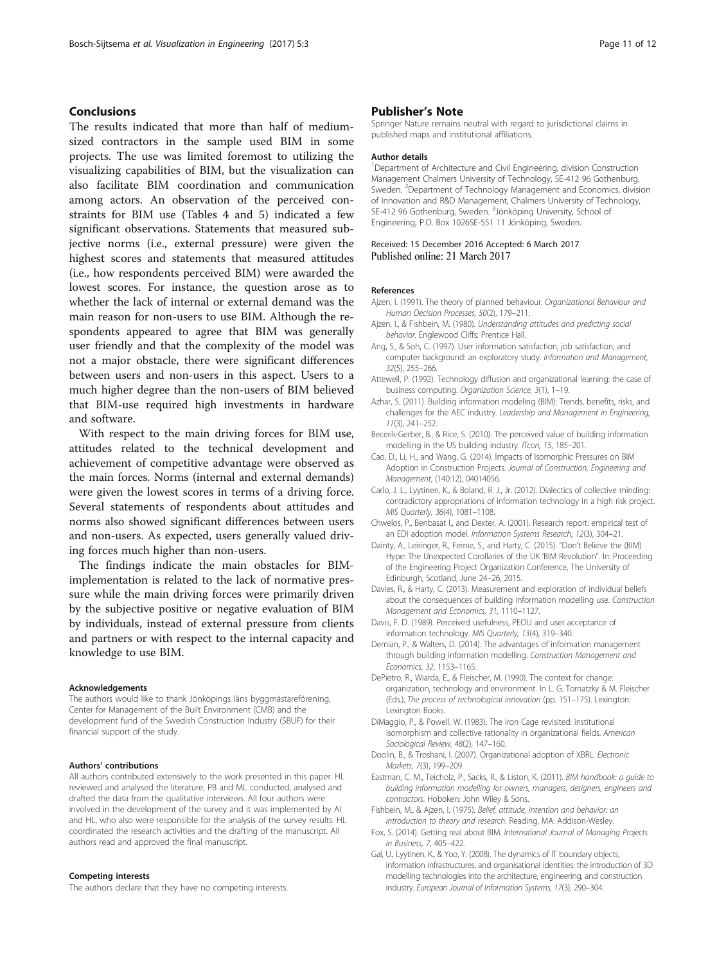# <span id="page-10-0"></span>Conclusions

The results indicated that more than half of mediumsized contractors in the sample used BIM in some projects. The use was limited foremost to utilizing the visualizing capabilities of BIM, but the visualization can also facilitate BIM coordination and communication among actors. An observation of the perceived constraints for BIM use (Tables [4](#page-7-0) and [5](#page-8-0)) indicated a few significant observations. Statements that measured subjective norms (i.e., external pressure) were given the highest scores and statements that measured attitudes (i.e., how respondents perceived BIM) were awarded the lowest scores. For instance, the question arose as to whether the lack of internal or external demand was the main reason for non-users to use BIM. Although the respondents appeared to agree that BIM was generally user friendly and that the complexity of the model was not a major obstacle, there were significant differences between users and non-users in this aspect. Users to a much higher degree than the non-users of BIM believed that BIM-use required high investments in hardware and software.

With respect to the main driving forces for BIM use, attitudes related to the technical development and achievement of competitive advantage were observed as the main forces. Norms (internal and external demands) were given the lowest scores in terms of a driving force. Several statements of respondents about attitudes and norms also showed significant differences between users and non-users. As expected, users generally valued driving forces much higher than non-users.

The findings indicate the main obstacles for BIMimplementation is related to the lack of normative pressure while the main driving forces were primarily driven by the subjective positive or negative evaluation of BIM by individuals, instead of external pressure from clients and partners or with respect to the internal capacity and knowledge to use BIM.

#### Acknowledgements

The authors would like to thank Jönköpings läns byggmästareförening, Center for Management of the Built Environment (CMB) and the development fund of the Swedish Construction Industry (SBUF) for their financial support of the study.

#### Authors' contributions

All authors contributed extensively to the work presented in this paper. HL reviewed and analysed the literature, PB and ML conducted, analysed and drafted the data from the qualitative interviews. All four authors were involved in the development of the survey and it was implemented by AI and HL, who also were responsible for the analysis of the survey results. HL coordinated the research activities and the drafting of the manuscript. All authors read and approved the final manuscript.

#### Competing interests

The authors declare that they have no competing interests.

# Publisher's Note

Springer Nature remains neutral with regard to jurisdictional claims in published maps and institutional affiliations.

#### Author details

<sup>1</sup>Department of Architecture and Civil Engineering, division Construction Management Chalmers University of Technology, SE-412 96 Gothenburg, Sweden. <sup>2</sup>Department of Technology Management and Economics, division of Innovation and R&D Management, Chalmers University of Technology, SE-412 96 Gothenburg, Sweden. <sup>3</sup>Jönköping University, School of Engineering, P.O. Box 1026SE-551 11 Jönköping, Sweden.

## Received: 15 December 2016 Accepted: 6 March 2017 Published online: 21 March 2017

#### References

- Ajzen, I. (1991). The theory of planned behaviour. Organizational Behaviour and Human Decision Processes, 50(2), 179–211.
- Ajzen, I., & Fishbein, M. (1980). Understanding attitudes and predicting social behavior. Englewood Cliffs: Prentice Hall.
- Ang, S., & Soh, C. (1997). User information satisfaction, job satisfaction, and computer background: an exploratory study. Information and Management, 32(5), 255–266.
- Attewell, P. (1992). Technology diffusion and organizational learning: the case of business computing. Organization Science, 3(1), 1–19.
- Azhar, S. (2011). Building information modeling (BIM): Trends, benefits, risks, and challenges for the AEC industry. Leadership and Management in Engineering, 11(3), 241–252.
- Becerik-Gerber, B., & Rice, S. (2010). The perceived value of building information modelling in the US building industry. ITcon, 15, 185–201.
- Cao, D., Li, H., and Wang, G. (2014). Impacts of Isomorphic Pressures on BIM Adoption in Construction Projects. Journal of Construction, Engineering and Management, (140:12), 04014056.
- Carlo, J. L., Lyytinen, K., & Boland, R. J., Jr. (2012). Dialectics of collective minding: contradictory appropriations of information technology in a high risk project. MIS Quarterly, 36(4), 1081–1108.
- Chwelos, P., Benbasat I., and Dexter, A. (2001). Research report: empirical test of an EDI adoption model. Information Systems Research, 12(3), 304–21.
- Dainty, A., Leiringer, R., Fernie, S., and Harty, C. (2015). "Don't Believe the (BIM) Hype: The Unexpected Corollaries of the UK 'BIM Revolution". In: Proceeding of the Engineering Project Organization Conference, The University of Edinburgh, Scotland, June 24–26, 2015.
- Davies, R., & Harty, C. (2013). Measurement and exploration of individual beliefs about the consequences of building information modelling use. Construction Management and Economics, 31, 1110–1127.
- Davis, F. D. (1989). Perceived usefulness, PEOU and user acceptance of information technology. MIS Quarterly, 13(4), 319–340.
- Demian, P., & Walters, D. (2014). The advantages of information management through building information modelling. Construction Management and Economics, 32, 1153–1165.
- DePietro, R., Wiarda, E., & Fleischer, M. (1990). The context for change: organization, technology and environment. In L. G. Tornatzky & M. Fleischer (Eds.), The process of technological innovation (pp. 151–175). Lexington: Lexington Books.
- DiMaggio, P., & Powell, W. (1983). The Iron Cage revisited: institutional isomorphism and collective rationality in organizational fields. American Sociological Review, 48(2), 147–160.
- Doolin, B., & Troshani, I. (2007). Organizational adoption of XBRL. Electronic Markets, 7(3), 199–209.
- Eastman, C. M., Teicholz, P., Sacks, R., & Liston, K. (2011). BIM handbook: a guide to building information modelling for owners, managers, designers, engineers and contractors. Hoboken: John Wiley & Sons.
- Fishbein, M., & Ajzen, I. (1975). Belief, attitude, intention and behavior: an introduction to theory and research. Reading, MA: Addison-Wesley.
- Fox, S. (2014). Getting real about BIM. International Journal of Managing Projects in Business, 7, 405–422.
- Gal, U., Lyytinen, K., & Yoo, Y. (2008). The dynamics of IT boundary objects, information infrastructures, and organisational identities: the introduction of 3D modelling technologies into the architecture, engineering, and construction industry. European Journal of Information Systems, 17(3), 290–304.